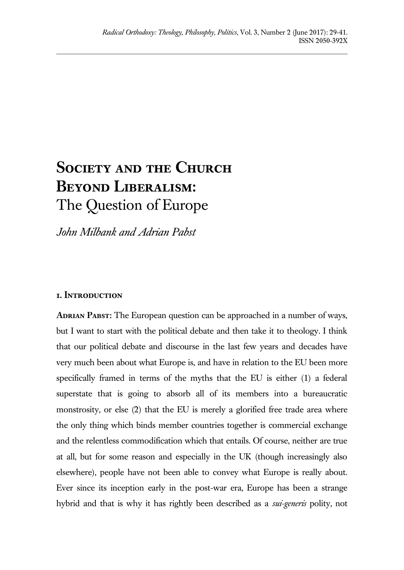# **Society and the Church Beyond Liberalism:** The Question of Europe

*John Milbank and Adrian Pabst*

## **1. Introduction**

**Adrian Pabst:** The European question can be approached in a number of ways, but I want to start with the political debate and then take it to theology. I think that our political debate and discourse in the last few years and decades have very much been about what Europe is, and have in relation to the EU been more specifically framed in terms of the myths that the EU is either (1) a federal superstate that is going to absorb all of its members into a bureaucratic monstrosity, or else (2) that the EU is merely a glorified free trade area where the only thing which binds member countries together is commercial exchange and the relentless commodification which that entails. Of course, neither are true at all, but for some reason and especially in the UK (though increasingly also elsewhere), people have not been able to convey what Europe is really about. Ever since its inception early in the post-war era, Europe has been a strange hybrid and that is why it has rightly been described as a *sui-generis* polity, not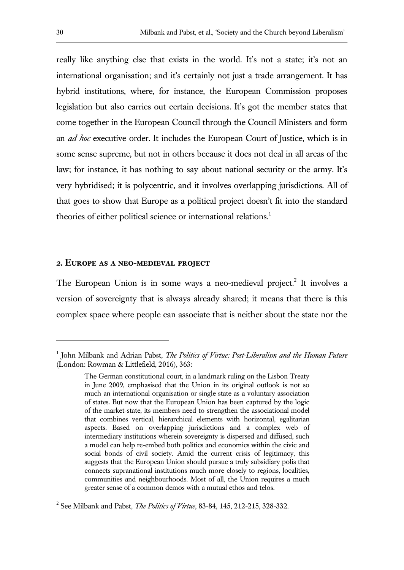really like anything else that exists in the world. It's not a state; it's not an international organisation; and it's certainly not just a trade arrangement. It has hybrid institutions, where, for instance, the European Commission proposes legislation but also carries out certain decisions. It's got the member states that come together in the European Council through the Council Ministers and form an *ad hoc* executive order. It includes the European Court of Justice, which is in some sense supreme, but not in others because it does not deal in all areas of the law; for instance, it has nothing to say about national security or the army. It's very hybridised; it is polycentric, and it involves overlapping jurisdictions. All of that goes to show that Europe as a political project doesn't fit into the standard theories of either political science or international relations.<sup>1</sup>

## **2. Europe as a neo-medieval project**

The European Union is in some ways a neo-medieval project.<sup>2</sup> It involves a version of sovereignty that is always already shared; it means that there is this complex space where people can associate that is neither about the state nor the

<sup>&</sup>lt;sup>1</sup> John Milbank and Adrian Pabst, *The Politics of Virtue: Post-Liberalism and the Human Future* (London: Rowman & Littlefield, 2016), 363:

The German constitutional court, in a landmark ruling on the Lisbon Treaty in June 2009, emphasised that the Union in its original outlook is not so much an international organisation or single state as a voluntary association of states. But now that the European Union has been captured by the logic of the market-state, its members need to strengthen the associational model that combines vertical, hierarchical elements with horizontal, egalitarian aspects. Based on overlapping jurisdictions and a complex web of intermediary institutions wherein sovereignty is dispersed and diffused, such a model can help re-embed both politics and economics within the civic and social bonds of civil society. Amid the current crisis of legitimacy, this suggests that the European Union should pursue a truly subsidiary polis that connects supranational institutions much more closely to regions, localities, communities and neighbourhoods. Most of all, the Union requires a much greater sense of a common demos with a mutual ethos and telos.

<sup>2</sup> See Milbank and Pabst, *The Politics of Virtue*, 83-84, 145, 212-215, 328-332.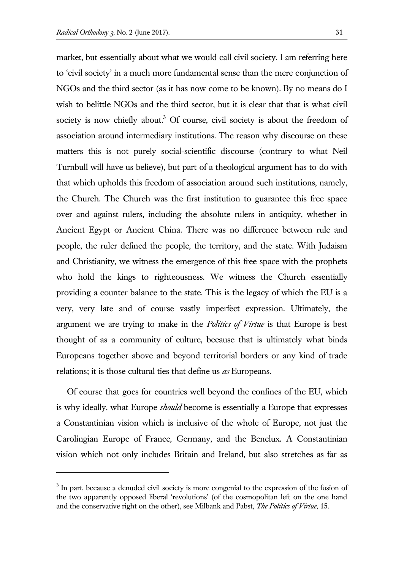l

market, but essentially about what we would call civil society. I am referring here to 'civil society' in a much more fundamental sense than the mere conjunction of NGOs and the third sector (as it has now come to be known). By no means do I wish to belittle NGOs and the third sector, but it is clear that that is what civil society is now chiefly about.<sup>3</sup> Of course, civil society is about the freedom of association around intermediary institutions. The reason why discourse on these matters this is not purely social-scientific discourse (contrary to what Neil Turnbull will have us believe), but part of a theological argument has to do with that which upholds this freedom of association around such institutions, namely, the Church. The Church was the first institution to guarantee this free space over and against rulers, including the absolute rulers in antiquity, whether in Ancient Egypt or Ancient China. There was no difference between rule and people, the ruler defined the people, the territory, and the state. With Judaism and Christianity, we witness the emergence of this free space with the prophets who hold the kings to righteousness. We witness the Church essentially providing a counter balance to the state. This is the legacy of which the EU is a very, very late and of course vastly imperfect expression. Ultimately, the argument we are trying to make in the *Politics of Virtue* is that Europe is best thought of as a community of culture, because that is ultimately what binds Europeans together above and beyond territorial borders or any kind of trade relations; it is those cultural ties that define us *as* Europeans.

Of course that goes for countries well beyond the confines of the EU, which is why ideally, what Europe *should* become is essentially a Europe that expresses a Constantinian vision which is inclusive of the whole of Europe, not just the Carolingian Europe of France, Germany, and the Benelux. A Constantinian vision which not only includes Britain and Ireland, but also stretches as far as

 $3$  In part, because a denuded civil society is more congenial to the expression of the fusion of the two apparently opposed liberal 'revolutions' (of the cosmopolitan left on the one hand and the conservative right on the other), see Milbank and Pabst, *The Politics of Virtue*, 15.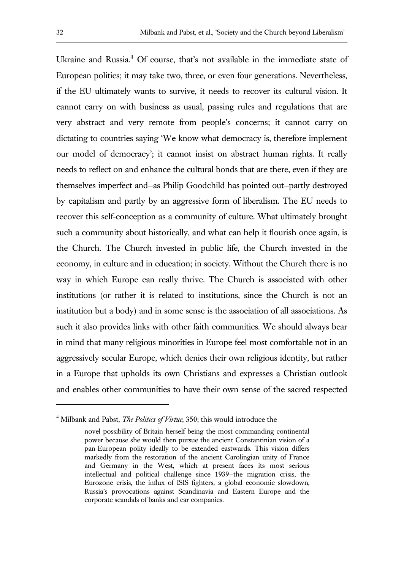Ukraine and Russia.<sup>4</sup> Of course, that's not available in the immediate state of European politics; it may take two, three, or even four generations. Nevertheless, if the EU ultimately wants to survive, it needs to recover its cultural vision. It cannot carry on with business as usual, passing rules and regulations that are very abstract and very remote from people's concerns; it cannot carry on dictating to countries saying 'We know what democracy is, therefore implement our model of democracy'; it cannot insist on abstract human rights. It really needs to reflect on and enhance the cultural bonds that are there, even if they are themselves imperfect and—as Philip Goodchild has pointed out—partly destroyed by capitalism and partly by an aggressive form of liberalism. The EU needs to recover this self-conception as a community of culture. What ultimately brought such a community about historically, and what can help it flourish once again, is the Church. The Church invested in public life, the Church invested in the economy, in culture and in education; in society. Without the Church there is no way in which Europe can really thrive. The Church is associated with other institutions (or rather it is related to institutions, since the Church is not an institution but a body) and in some sense is the association of all associations. As such it also provides links with other faith communities. We should always bear in mind that many religious minorities in Europe feel most comfortable not in an aggressively secular Europe, which denies their own religious identity, but rather in a Europe that upholds its own Christians and expresses a Christian outlook and enables other communities to have their own sense of the sacred respected

<sup>4</sup> Milbank and Pabst, *The Politics of Virtue*, 350; this would introduce the

novel possibility of Britain herself being the most commanding continental power because she would then pursue the ancient Constantinian vision of a pan-European polity ideally to be extended eastwards. This vision differs markedly from the restoration of the ancient Carolingian unity of France and Germany in the West, which at present faces its most serious intellectual and political challenge since 1939—the migration crisis, the Eurozone crisis, the influx of ISIS fighters, a global economic slowdown, Russia's provocations against Scandinavia and Eastern Europe and the corporate scandals of banks and car companies.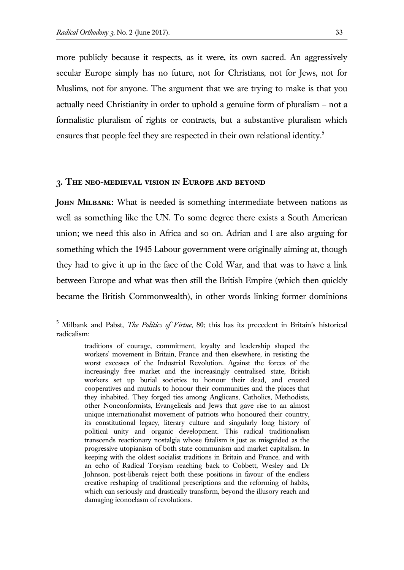$\overline{a}$ 

more publicly because it respects, as it were, its own sacred. An aggressively secular Europe simply has no future, not for Christians, not for Jews, not for Muslims, not for anyone. The argument that we are trying to make is that you actually need Christianity in order to uphold a genuine form of pluralism – not a formalistic pluralism of rights or contracts, but a substantive pluralism which ensures that people feel they are respected in their own relational identity.<sup>5</sup>

#### **3. The neo-medieval vision in Europe and beyond**

**JOHN MILBANK:** What is needed is something intermediate between nations as well as something like the UN. To some degree there exists a South American union; we need this also in Africa and so on. Adrian and I are also arguing for something which the 1945 Labour government were originally aiming at, though they had to give it up in the face of the Cold War, and that was to have a link between Europe and what was then still the British Empire (which then quickly became the British Commonwealth), in other words linking former dominions

<sup>5</sup> Milbank and Pabst, *The Politics of Virtue*, 80; this has its precedent in Britain's historical radicalism:

traditions of courage, commitment, loyalty and leadership shaped the workers' movement in Britain, France and then elsewhere, in resisting the worst excesses of the Industrial Revolution. Against the forces of the increasingly free market and the increasingly centralised state, British workers set up burial societies to honour their dead, and created cooperatives and mutuals to honour their communities and the places that they inhabited. They forged ties among Anglicans, Catholics, Methodists, other Nonconformists, Evangelicals and Jews that gave rise to an almost unique internationalist movement of patriots who honoured their country, its constitutional legacy, literary culture and singularly long history of political unity and organic development. This radical traditionalism transcends reactionary nostalgia whose fatalism is just as misguided as the progressive utopianism of both state communism and market capitalism. In keeping with the oldest socialist traditions in Britain and France, and with an echo of Radical Toryism reaching back to Cobbett, Wesley and Dr Johnson, post-liberals reject both these positions in favour of the endless creative reshaping of traditional prescriptions and the reforming of habits, which can seriously and drastically transform, beyond the illusory reach and damaging iconoclasm of revolutions.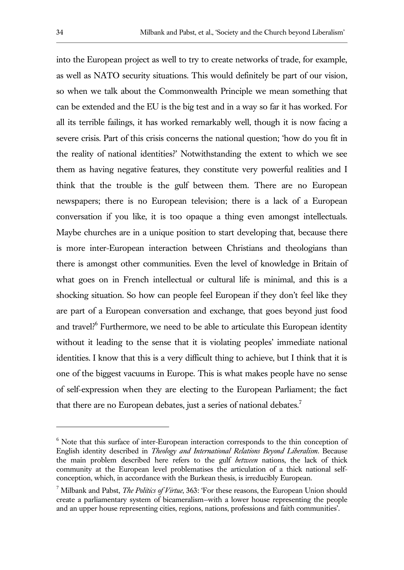into the European project as well to try to create networks of trade, for example, as well as NATO security situations. This would definitely be part of our vision, so when we talk about the Commonwealth Principle we mean something that can be extended and the EU is the big test and in a way so far it has worked. For all its terrible failings, it has worked remarkably well, though it is now facing a severe crisis. Part of this crisis concerns the national question; 'how do you fit in the reality of national identities?' Notwithstanding the extent to which we see them as having negative features, they constitute very powerful realities and I think that the trouble is the gulf between them. There are no European newspapers; there is no European television; there is a lack of a European conversation if you like, it is too opaque a thing even amongst intellectuals. Maybe churches are in a unique position to start developing that, because there is more inter-European interaction between Christians and theologians than there is amongst other communities. Even the level of knowledge in Britain of what goes on in French intellectual or cultural life is minimal, and this is a shocking situation. So how can people feel European if they don't feel like they are part of a European conversation and exchange, that goes beyond just food and travel?<sup>6</sup> Furthermore, we need to be able to articulate this European identity without it leading to the sense that it is violating peoples' immediate national identities. I know that this is a very difficult thing to achieve, but I think that it is one of the biggest vacuums in Europe. This is what makes people have no sense of self-expression when they are electing to the European Parliament; the fact that there are no European debates, just a series of national debates.<sup>7</sup>

<sup>&</sup>lt;sup>6</sup> Note that this surface of inter-European interaction corresponds to the thin conception of English identity described in *Theology and International Relations Beyond Liberalism*. Because the main problem described here refers to the gulf *between* nations, the lack of thick community at the European level problematises the articulation of a thick national selfconception, which, in accordance with the Burkean thesis, is irreducibly European.

<sup>7</sup> Milbank and Pabst, *The Politics of Virtue*, 363: 'For these reasons, the European Union should create a parliamentary system of bicameralism—with a lower house representing the people and an upper house representing cities, regions, nations, professions and faith communities'.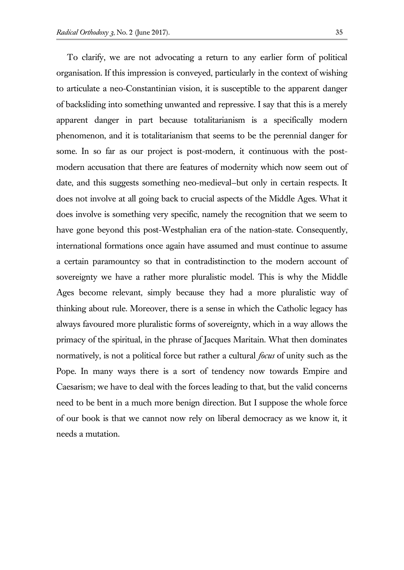To clarify, we are not advocating a return to any earlier form of political organisation. If this impression is conveyed, particularly in the context of wishing to articulate a neo-Constantinian vision, it is susceptible to the apparent danger of backsliding into something unwanted and repressive. I say that this is a merely apparent danger in part because totalitarianism is a specifically modern phenomenon, and it is totalitarianism that seems to be the perennial danger for some. In so far as our project is post-modern, it continuous with the postmodern accusation that there are features of modernity which now seem out of date, and this suggests something neo-medieval—but only in certain respects. It does not involve at all going back to crucial aspects of the Middle Ages. What it does involve is something very specific, namely the recognition that we seem to have gone beyond this post-Westphalian era of the nation-state. Consequently, international formations once again have assumed and must continue to assume a certain paramountcy so that in contradistinction to the modern account of sovereignty we have a rather more pluralistic model. This is why the Middle Ages become relevant, simply because they had a more pluralistic way of thinking about rule. Moreover, there is a sense in which the Catholic legacy has always favoured more pluralistic forms of sovereignty, which in a way allows the primacy of the spiritual, in the phrase of Jacques Maritain. What then dominates normatively, is not a political force but rather a cultural *focus* of unity such as the Pope. In many ways there is a sort of tendency now towards Empire and Caesarism; we have to deal with the forces leading to that, but the valid concerns need to be bent in a much more benign direction. But I suppose the whole force of our book is that we cannot now rely on liberal democracy as we know it, it needs a mutation.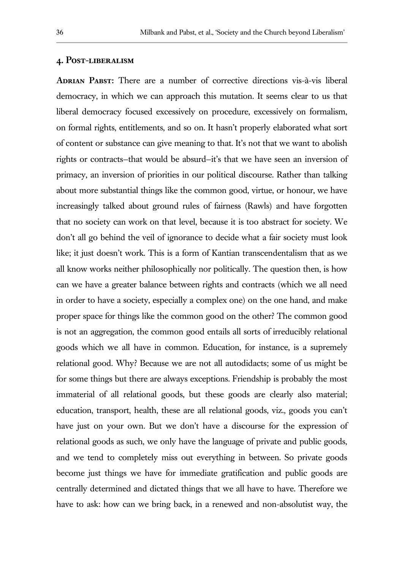### **4. Post-liberalism**

**Adrian Pabst:** There are a number of corrective directions vis-à-vis liberal democracy, in which we can approach this mutation. It seems clear to us that liberal democracy focused excessively on procedure, excessively on formalism, on formal rights, entitlements, and so on. It hasn't properly elaborated what sort of content or substance can give meaning to that. It's not that we want to abolish rights or contracts—that would be absurd—it's that we have seen an inversion of primacy, an inversion of priorities in our political discourse. Rather than talking about more substantial things like the common good, virtue, or honour, we have increasingly talked about ground rules of fairness (Rawls) and have forgotten that no society can work on that level, because it is too abstract for society. We don't all go behind the veil of ignorance to decide what a fair society must look like; it just doesn't work. This is a form of Kantian transcendentalism that as we all know works neither philosophically nor politically. The question then, is how can we have a greater balance between rights and contracts (which we all need in order to have a society, especially a complex one) on the one hand, and make proper space for things like the common good on the other? The common good is not an aggregation, the common good entails all sorts of irreducibly relational goods which we all have in common. Education, for instance, is a supremely relational good. Why? Because we are not all autodidacts; some of us might be for some things but there are always exceptions. Friendship is probably the most immaterial of all relational goods, but these goods are clearly also material; education, transport, health, these are all relational goods, viz., goods you can't have just on your own. But we don't have a discourse for the expression of relational goods as such, we only have the language of private and public goods, and we tend to completely miss out everything in between. So private goods become just things we have for immediate gratification and public goods are centrally determined and dictated things that we all have to have. Therefore we have to ask: how can we bring back, in a renewed and non-absolutist way, the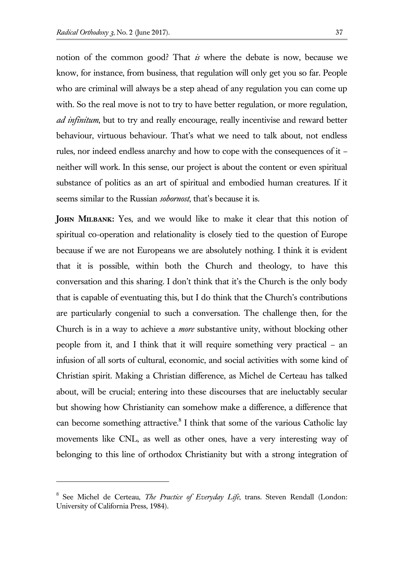$\overline{a}$ 

notion of the common good? That *is* where the debate is now, because we know, for instance, from business, that regulation will only get you so far. People who are criminal will always be a step ahead of any regulation you can come up with. So the real move is not to try to have better regulation, or more regulation, *ad infinitum*, but to try and really encourage, really incentivise and reward better behaviour, virtuous behaviour. That's what we need to talk about, not endless rules, nor indeed endless anarchy and how to cope with the consequences of it – neither will work. In this sense, our project is about the content or even spiritual substance of politics as an art of spiritual and embodied human creatures. If it seems similar to the Russian *sobornost*, that's because it is.

**John Milbank:** Yes, and we would like to make it clear that this notion of spiritual co-operation and relationality is closely tied to the question of Europe because if we are not Europeans we are absolutely nothing. I think it is evident that it is possible, within both the Church and theology, to have this conversation and this sharing. I don't think that it's the Church is the only body that is capable of eventuating this, but I do think that the Church's contributions are particularly congenial to such a conversation. The challenge then, for the Church is in a way to achieve a *more* substantive unity, without blocking other people from it, and I think that it will require something very practical – an infusion of all sorts of cultural, economic, and social activities with some kind of Christian spirit. Making a Christian difference, as Michel de Certeau has talked about, will be crucial; entering into these discourses that are ineluctably secular but showing how Christianity can somehow make a difference, a difference that can become something attractive. $8$  I think that some of the various Catholic lay movements like CNL, as well as other ones, have a very interesting way of belonging to this line of orthodox Christianity but with a strong integration of

<sup>&</sup>lt;sup>8</sup> See Michel de Certeau, *The Practice of Everyday Life*, trans. Steven Rendall (London: University of California Press, 1984).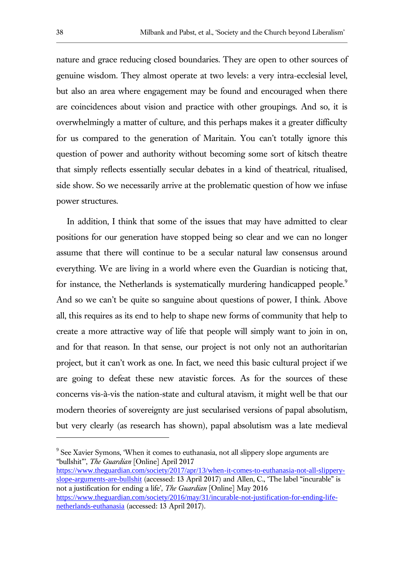nature and grace reducing closed boundaries. They are open to other sources of genuine wisdom. They almost operate at two levels: a very intra-ecclesial level, but also an area where engagement may be found and encouraged when there are coincidences about vision and practice with other groupings. And so, it is overwhelmingly a matter of culture, and this perhaps makes it a greater difficulty for us compared to the generation of Maritain. You can't totally ignore this question of power and authority without becoming some sort of kitsch theatre that simply reflects essentially secular debates in a kind of theatrical, ritualised, side show. So we necessarily arrive at the problematic question of how we infuse power structures.

In addition, I think that some of the issues that may have admitted to clear positions for our generation have stopped being so clear and we can no longer assume that there will continue to be a secular natural law consensus around everything. We are living in a world where even the Guardian is noticing that, for instance, the Netherlands is systematically murdering handicapped people.<sup>9</sup> And so we can't be quite so sanguine about questions of power, I think. Above all, this requires as its end to help to shape new forms of community that help to create a more attractive way of life that people will simply want to join in on, and for that reason. In that sense, our project is not only not an authoritarian project, but it can't work as one. In fact, we need this basic cultural project if we are going to defeat these new atavistic forces. As for the sources of these concerns vis-à-vis the nation-state and cultural atavism, it might well be that our modern theories of sovereignty are just secularised versions of papal absolutism, but very clearly (as research has shown), papal absolutism was a late medieval

<sup>&</sup>lt;sup>9</sup> See Xavier Symons, 'When it comes to euthanasia, not all slippery slope arguments are "bullshit"', *The Guardian* [Online] April 2017

https://www.theguardian.com/society/2017/apr/13/when-it-comes-to-euthanasia-not-all-slipperyslope-arguments-are-bullshit (accessed: 13 April 2017) and Allen, C., 'The label "incurable" is not a justification for ending a life', *The Guardian* [Online] May 2016 https://www.theguardian.com/society/2016/may/31/incurable-not-justification-for-ending-lifenetherlands-euthanasia (accessed: 13 April 2017).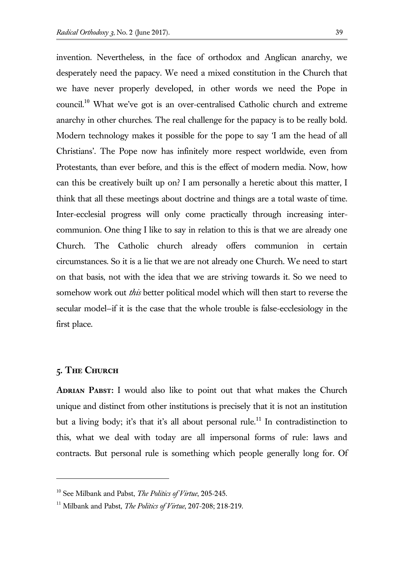invention. Nevertheless, in the face of orthodox and Anglican anarchy, we desperately need the papacy. We need a mixed constitution in the Church that we have never properly developed, in other words we need the Pope in council.<sup>10</sup> What we've got is an over-centralised Catholic church and extreme anarchy in other churches. The real challenge for the papacy is to be really bold. Modern technology makes it possible for the pope to say 'I am the head of all Christians'. The Pope now has infinitely more respect worldwide, even from Protestants, than ever before, and this is the effect of modern media. Now, how can this be creatively built up on? I am personally a heretic about this matter, I think that all these meetings about doctrine and things are a total waste of time. Inter-ecclesial progress will only come practically through increasing intercommunion. One thing I like to say in relation to this is that we are already one Church. The Catholic church already offers communion in certain circumstances. So it is a lie that we are not already one Church. We need to start on that basis, not with the idea that we are striving towards it. So we need to somehow work out *this* better political model which will then start to reverse the secular model—if it is the case that the whole trouble is false-ecclesiology in the first place.

## **5. The Church**

 $\overline{a}$ 

**Adrian Pabst:** I would also like to point out that what makes the Church unique and distinct from other institutions is precisely that it is not an institution but a living body; it's that it's all about personal rule.<sup>11</sup> In contradistinction to this, what we deal with today are all impersonal forms of rule: laws and contracts. But personal rule is something which people generally long for. Of

<sup>10</sup> See Milbank and Pabst, *The Politics of Virtue*, 205-245.

<sup>11</sup> Milbank and Pabst, *The Politics of Virtue*, 207-208; 218-219.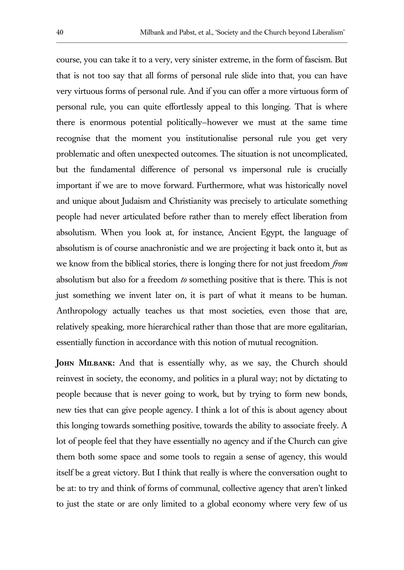course, you can take it to a very, very sinister extreme, in the form of fascism. But that is not too say that all forms of personal rule slide into that, you can have very virtuous forms of personal rule. And if you can offer a more virtuous form of personal rule, you can quite effortlessly appeal to this longing. That is where there is enormous potential politically—however we must at the same time recognise that the moment you institutionalise personal rule you get very problematic and often unexpected outcomes. The situation is not uncomplicated, but the fundamental difference of personal vs impersonal rule is crucially important if we are to move forward. Furthermore, what was historically novel and unique about Judaism and Christianity was precisely to articulate something people had never articulated before rather than to merely effect liberation from absolutism. When you look at, for instance, Ancient Egypt, the language of absolutism is of course anachronistic and we are projecting it back onto it, but as we know from the biblical stories, there is longing there for not just freedom *from* absolutism but also for a freedom *to* something positive that is there. This is not just something we invent later on, it is part of what it means to be human. Anthropology actually teaches us that most societies, even those that are, relatively speaking, more hierarchical rather than those that are more egalitarian, essentially function in accordance with this notion of mutual recognition.

**JOHN MILBANK:** And that is essentially why, as we say, the Church should reinvest in society, the economy, and politics in a plural way; not by dictating to people because that is never going to work, but by trying to form new bonds, new ties that can give people agency. I think a lot of this is about agency about this longing towards something positive, towards the ability to associate freely. A lot of people feel that they have essentially no agency and if the Church can give them both some space and some tools to regain a sense of agency, this would itself be a great victory. But I think that really is where the conversation ought to be at: to try and think of forms of communal, collective agency that aren't linked to just the state or are only limited to a global economy where very few of us